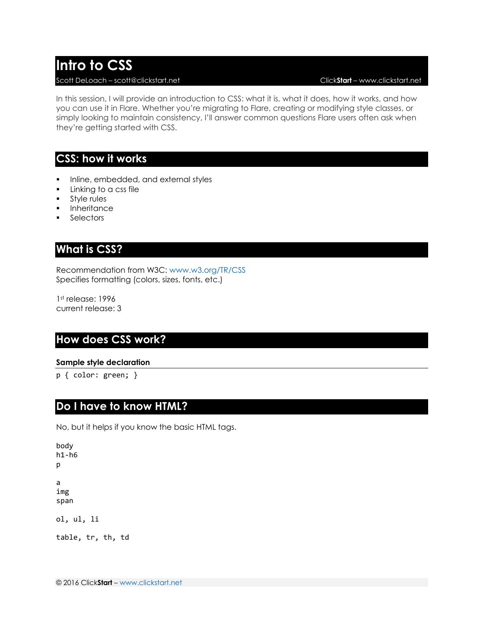# **Intro to CSS**

#### Scott DeLoach – scott@clickstart.net Click**Start** – www.clickstart.net

In this session, I will provide an introduction to CSS: what it is, what it does, how it works, and how you can use it in Flare. Whether you're migrating to Flare, creating or modifying style classes, or simply looking to maintain consistency, I'll answer common questions Flare users often ask when they're getting started with CSS.

#### **CSS: how it works**

- Inline, embedded, and external styles
- **Linking to a css file**
- **Style rules**
- Inheritance
- **Selectors**

#### **What is CSS?**

Recommendation from W3C: [www.w3.org/TR/CSS](http://www.w3.org/TR/CSS) Specifies formatting (colors, sizes, fonts, etc.)

1st release: 1996 current release: 3

#### **How does CSS work?**

#### **Sample style declaration**

p { color: green; }

#### **Do I have to know HTML?**

No, but it helps if you know the basic HTML tags.

```
body
h1-h6
p
a
img
span
ol, ul, li
table, tr, th, td
```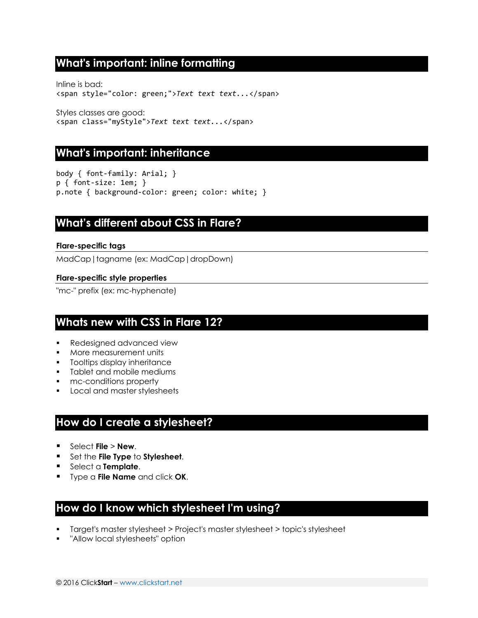## **What's important: inline formatting**

Inline is bad: <span style="color: green;">*Text text text...*</span>

Styles classes are good: <span class="myStyle">*Text text text...*</span>

#### **What's important: inheritance**

body { font-family: Arial; } p { font-size: 1em; } p.note { background-color: green; color: white; }

#### **What's different about CSS in Flare?**

#### **Flare-specific tags**

MadCap|tagname (ex: MadCap|dropDown)

#### **Flare-specific style properties**

"mc-" prefix (ex: mc-hyphenate)

#### **Whats new with CSS in Flare 12?**

- **Redesigned advanced view**
- **More measurement units**
- **Tooltips display inheritance**
- **Tablet and mobile mediums**
- mc-conditions property
- **Local and master stylesheets**

#### **How do I create a stylesheet?**

- Select **File** > **New**.
- **F** Set the **File Type** to **Stylesheet**.
- **Select a Template.**
- Type a **File Name** and click **OK**.

#### **How do I know which stylesheet I'm using?**

- Target's master stylesheet > Project's master stylesheet > topic's stylesheet
- "Allow local stylesheets" option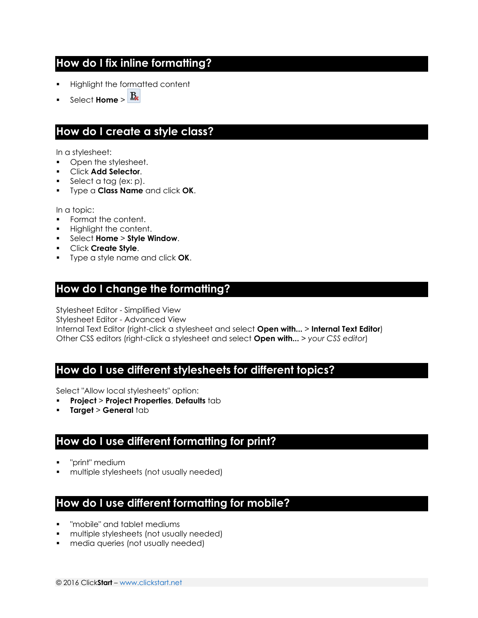## **How do I fix inline formatting?**

- Highlight the formatted content
- Select **Home** >  $\frac{B_k}{B_k}$

## **How do I create a style class?**

In a stylesheet:

- Open the stylesheet.
- Click **Add Selector**.
- Select a tag (ex: p).
- Type a **Class Name** and click **OK**.

In a topic:

- **Format the content.**
- Highlight the content.
- Select **Home** > **Style Window**.
- Click **Create Style**.
- Type a style name and click **OK**.

## **How do I change the formatting?**

Stylesheet Editor - Simplified View

Stylesheet Editor - Advanced View

Internal Text Editor (right-click a stylesheet and select **Open with...** > **Internal Text Editor**) Other CSS editors (right-click a stylesheet and select **Open with...** > *your CSS editor*)

## **How do I use different stylesheets for different topics?**

Select "Allow local stylesheets" option:

- **Project** > **Project Properties**, **Defaults** tab
- **Target** > **General** tab

## **How do I use different formatting for print?**

- "print" medium
- multiple stylesheets (not usually needed)

## **How do I use different formatting for mobile?**

- "mobile" and tablet mediums
- multiple stylesheets (not usually needed)
- media queries (not usually needed)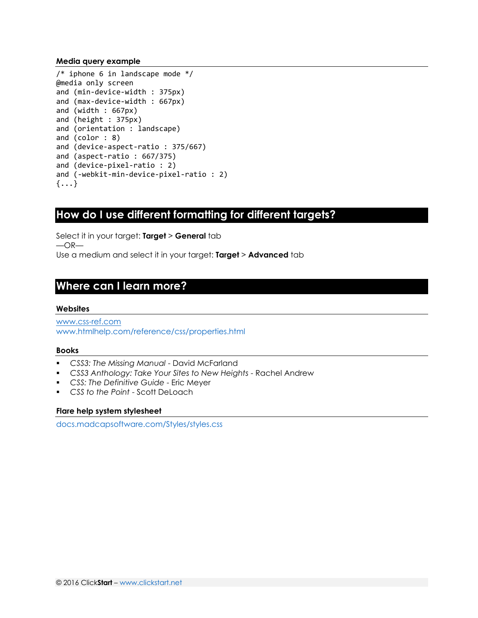#### **Media query example**

```
/* iphone 6 in landscape mode */@media only screen
and (min-device-width : 375px) 
and (max-device-width : 667px) 
and (width : 667px) 
and (height : 375px) 
and (orientation : landscape)
and (color : 8)
and (device-aspect-ratio : 375/667)
and (aspect-ratio : 667/375)
and (device-pixel-ratio : 2)
and (-webkit-min-device-pixel-ratio : 2)
\{\ldots\}
```
#### **How do I use different formatting for different targets?**

Select it in your target: **Target** > **General** tab  $-OR-$ Use a medium and select it in your target: **Target** > **Advanced** tab

## **Where can I learn more?**

#### **Websites**

[www.css-ref.com](http://www.css-ref.com/) [www.htmlhelp.com/reference/css/properties.html](http://www.htmlhelp.com/reference/css/properties.html)

#### **Books**

- *CSS3: The Missing Manual* David McFarland
- *CSS3 Anthology: Take Your Sites to New Heights* Rachel Andrew
- *CSS: The Definitive Guide* Eric Meyer
- *CSS to the Point* Scott DeLoach

#### **Flare help system stylesheet**

[docs.madcapsoftware.com/Styles/styles.css](http://docs.madcapsoftware.com/Styles/styles.css)